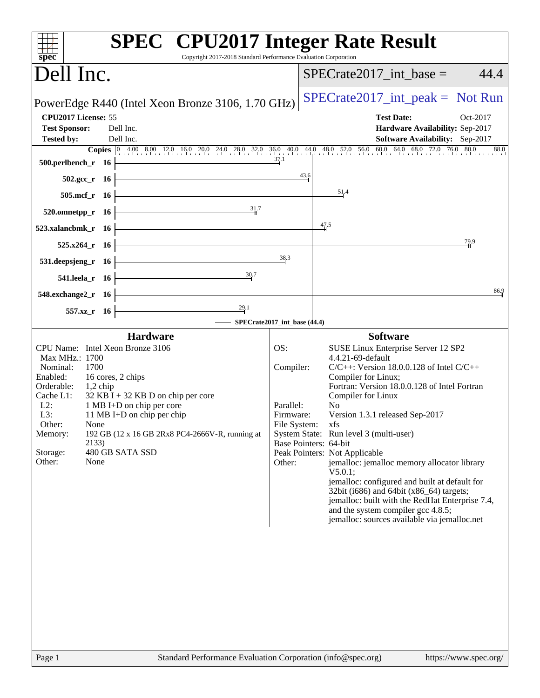| $spec^*$                                                                                                                                                                                                                                                                                                                                                                                                                   | <b>SPEC<sup>®</sup></b> CPU2017 Integer Rate Result<br>Copyright 2017-2018 Standard Performance Evaluation Corporation                                                                                                                                                                                                                                                                                                                                                                                                                                                                                                                                                                                                                                                                |
|----------------------------------------------------------------------------------------------------------------------------------------------------------------------------------------------------------------------------------------------------------------------------------------------------------------------------------------------------------------------------------------------------------------------------|---------------------------------------------------------------------------------------------------------------------------------------------------------------------------------------------------------------------------------------------------------------------------------------------------------------------------------------------------------------------------------------------------------------------------------------------------------------------------------------------------------------------------------------------------------------------------------------------------------------------------------------------------------------------------------------------------------------------------------------------------------------------------------------|
| Dell Inc.                                                                                                                                                                                                                                                                                                                                                                                                                  | $SPECrate2017\_int\_base =$<br>44.4                                                                                                                                                                                                                                                                                                                                                                                                                                                                                                                                                                                                                                                                                                                                                   |
| PowerEdge R440 (Intel Xeon Bronze 3106, 1.70 GHz)                                                                                                                                                                                                                                                                                                                                                                          | $SPECTate2017\_int\_peak = Not Run$                                                                                                                                                                                                                                                                                                                                                                                                                                                                                                                                                                                                                                                                                                                                                   |
| CPU2017 License: 55<br><b>Test Sponsor:</b><br>Dell Inc.<br>Dell Inc.<br><b>Tested by:</b>                                                                                                                                                                                                                                                                                                                                 | <b>Test Date:</b><br>Oct-2017<br>Hardware Availability: Sep-2017<br><b>Software Availability:</b> Sep-2017                                                                                                                                                                                                                                                                                                                                                                                                                                                                                                                                                                                                                                                                            |
| $500.$ perlbench_r 16                                                                                                                                                                                                                                                                                                                                                                                                      | Copies $\begin{bmatrix} 0 & 4.00 & 8.00 & 12.0 & 16.0 & 20.0 & 24.0 & 28.0 & 32.0 & 36.0 & 40.0 & 44.0 & 48.0 & 52.0 & 56.0 & 60.0 & 64.0 & 68.0 & 72.0 & 76.0 & 80.0 \end{bmatrix}$<br>88.0<br>43.6                                                                                                                                                                                                                                                                                                                                                                                                                                                                                                                                                                                  |
| $502.\text{sec}_r$ 16<br>$505.\text{mcf}_r$ 16                                                                                                                                                                                                                                                                                                                                                                             | 51.4                                                                                                                                                                                                                                                                                                                                                                                                                                                                                                                                                                                                                                                                                                                                                                                  |
| $3\frac{1}{4}$ .<br>$520.0$ mnetpp_r 16<br>$523$ .xalancbmk_r 16                                                                                                                                                                                                                                                                                                                                                           | $\frac{47.5}{4}$                                                                                                                                                                                                                                                                                                                                                                                                                                                                                                                                                                                                                                                                                                                                                                      |
| <u> 1980 - Johann Barn, fransk politik (d. 1980)</u><br>$525.x264$ <sub>r</sub> 16<br>$531.$ deepsjeng_r 16                                                                                                                                                                                                                                                                                                                | 79.9<br>38.3                                                                                                                                                                                                                                                                                                                                                                                                                                                                                                                                                                                                                                                                                                                                                                          |
| <u> 1989 - Johann Barn, mars eta bainar eta idazlea (</u><br>30.7<br>541.leela_r $16$ –                                                                                                                                                                                                                                                                                                                                    |                                                                                                                                                                                                                                                                                                                                                                                                                                                                                                                                                                                                                                                                                                                                                                                       |
| 548.exchange $2\degree$ r 16<br>29.1<br>$557.xz$ <sub>r</sub> 16                                                                                                                                                                                                                                                                                                                                                           | 86.9                                                                                                                                                                                                                                                                                                                                                                                                                                                                                                                                                                                                                                                                                                                                                                                  |
| Hardware<br>CPU Name: Intel Xeon Bronze 3106<br>Max MHz.: 1700<br>Nominal:<br>1700<br>Enabled:<br>16 cores, 2 chips<br>Orderable:<br>$1,2$ chip<br>Cache L1:<br>$32$ KB I + 32 KB D on chip per core<br>$L2$ :<br>1 MB I+D on chip per core<br>L3:<br>11 MB I+D on chip per chip<br>Other:<br>None<br>192 GB (12 x 16 GB 2Rx8 PC4-2666V-R, running at<br>Memory:<br>2133)<br>480 GB SATA SSD<br>Storage:<br>Other:<br>None | SPECrate2017_int_base (44.4)<br><b>Software</b><br>OS:<br>SUSE Linux Enterprise Server 12 SP2<br>4.4.21-69-default<br>$C/C++$ : Version 18.0.0.128 of Intel $C/C++$<br>Compiler:<br>Compiler for Linux;<br>Fortran: Version 18.0.0.128 of Intel Fortran<br>Compiler for Linux<br>Parallel:<br>No<br>Version 1.3.1 released Sep-2017<br>Firmware:<br>File System:<br>xfs<br>System State: Run level 3 (multi-user)<br>Base Pointers: 64-bit<br>Peak Pointers: Not Applicable<br>jemalloc: jemalloc memory allocator library<br>Other:<br>V5.0.1;<br>jemalloc: configured and built at default for<br>32bit (i686) and 64bit (x86_64) targets;<br>jemalloc: built with the RedHat Enterprise 7.4,<br>and the system compiler gcc 4.8.5;<br>jemalloc: sources available via jemalloc.net |
|                                                                                                                                                                                                                                                                                                                                                                                                                            |                                                                                                                                                                                                                                                                                                                                                                                                                                                                                                                                                                                                                                                                                                                                                                                       |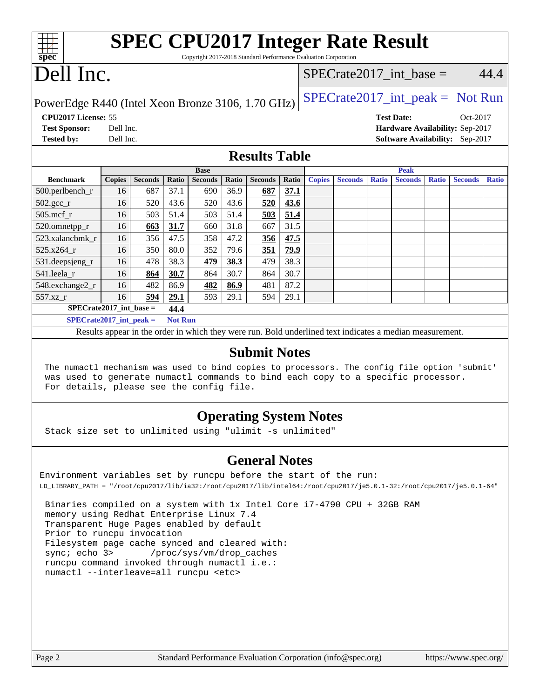| <b>SPEC CPU2017 Integer Rate Result</b><br>Copyright 2017-2018 Standard Performance Evaluation Corporation<br>spec <sup>®</sup> |               |                |       |                                                                                                          |              |                |       |                                     |                |              |                   |              |                                 |              |
|---------------------------------------------------------------------------------------------------------------------------------|---------------|----------------|-------|----------------------------------------------------------------------------------------------------------|--------------|----------------|-------|-------------------------------------|----------------|--------------|-------------------|--------------|---------------------------------|--------------|
| Dell Inc.                                                                                                                       |               |                |       |                                                                                                          |              |                |       | $SPECrate2017\_int\_base =$<br>44.4 |                |              |                   |              |                                 |              |
| $SPECrate2017\_int\_peak = Not Run$<br>PowerEdge R440 (Intel Xeon Bronze 3106, 1.70 GHz)                                        |               |                |       |                                                                                                          |              |                |       |                                     |                |              |                   |              |                                 |              |
| CPU2017 License: 55                                                                                                             |               |                |       |                                                                                                          |              |                |       |                                     |                |              | <b>Test Date:</b> |              | Oct-2017                        |              |
| <b>Test Sponsor:</b>                                                                                                            | Dell Inc.     |                |       |                                                                                                          |              |                |       |                                     |                |              |                   |              | Hardware Availability: Sep-2017 |              |
| <b>Tested by:</b>                                                                                                               | Dell Inc.     |                |       |                                                                                                          |              |                |       |                                     |                |              |                   |              | Software Availability: Sep-2017 |              |
| <b>Results Table</b>                                                                                                            |               |                |       |                                                                                                          |              |                |       |                                     |                |              |                   |              |                                 |              |
|                                                                                                                                 |               |                |       | <b>Base</b>                                                                                              |              |                |       |                                     |                |              | <b>Peak</b>       |              |                                 |              |
| <b>Benchmark</b>                                                                                                                | <b>Copies</b> | <b>Seconds</b> | Ratio | <b>Seconds</b>                                                                                           | <b>Ratio</b> | <b>Seconds</b> | Ratio | <b>Copies</b>                       | <b>Seconds</b> | <b>Ratio</b> | <b>Seconds</b>    | <b>Ratio</b> | <b>Seconds</b>                  | <b>Ratio</b> |
| 500.perlbench_r                                                                                                                 | 16            | 687            | 37.1  | 690                                                                                                      | 36.9         | 687            | 37.1  |                                     |                |              |                   |              |                                 |              |
| $502.\text{sec}$ <sub>r</sub>                                                                                                   | 16            | 520            | 43.6  | 520                                                                                                      | 43.6         | 520            | 43.6  |                                     |                |              |                   |              |                                 |              |
| $505$ .mcf_r                                                                                                                    | 16            | 503            | 51.4  | 503                                                                                                      | 51.4         | 503            | 51.4  |                                     |                |              |                   |              |                                 |              |
| 520.omnetpp_r                                                                                                                   | 16            | 663            | 31.7  | 660                                                                                                      | 31.8         | 667            | 31.5  |                                     |                |              |                   |              |                                 |              |
| 523.xalancbmk r                                                                                                                 | 16            | 356            | 47.5  | 358                                                                                                      | 47.2         | 356            | 47.5  |                                     |                |              |                   |              |                                 |              |
| 525.x264 r                                                                                                                      | 16            | 350            | 80.0  | 352                                                                                                      | 79.6         | 351            | 79.9  |                                     |                |              |                   |              |                                 |              |
| 531.deepsjeng_r                                                                                                                 | 16            | 478            | 38.3  | 479                                                                                                      | 38.3         | 479            | 38.3  |                                     |                |              |                   |              |                                 |              |
| 541.leela r                                                                                                                     | 16            | 864            | 30.7  | 864                                                                                                      | 30.7         | 864            | 30.7  |                                     |                |              |                   |              |                                 |              |
| 548.exchange2_r                                                                                                                 | 16            | 482            | 86.9  | 482                                                                                                      | 86.9         | 481            | 87.2  |                                     |                |              |                   |              |                                 |              |
| 557.xz_r                                                                                                                        | 16            | 594            | 29.1  | 593                                                                                                      | 29.1         | 594            | 29.1  |                                     |                |              |                   |              |                                 |              |
| $SPECrate2017$ int base =                                                                                                       |               |                | 44.4  |                                                                                                          |              |                |       |                                     |                |              |                   |              |                                 |              |
| $SPECrate2017\_int\_peak =$<br><b>Not Run</b>                                                                                   |               |                |       |                                                                                                          |              |                |       |                                     |                |              |                   |              |                                 |              |
|                                                                                                                                 |               |                |       | Results appear in the order in which they were run. Bold underlined text indicates a median measurement. |              |                |       |                                     |                |              |                   |              |                                 |              |
| <b>Submit Notes</b>                                                                                                             |               |                |       |                                                                                                          |              |                |       |                                     |                |              |                   |              |                                 |              |
| The numactl mechanism was used to bind copies to processors. The config file option 'submit'                                    |               |                |       |                                                                                                          |              |                |       |                                     |                |              |                   |              |                                 |              |

was used to generate numactl commands to bind each copy to a specific processor.

### **[Operating System Notes](http://www.spec.org/auto/cpu2017/Docs/result-fields.html#OperatingSystemNotes)**

Stack size set to unlimited using "ulimit -s unlimited"

For details, please see the config file.

#### **[General Notes](http://www.spec.org/auto/cpu2017/Docs/result-fields.html#GeneralNotes)**

Environment variables set by runcpu before the start of the run: LD\_LIBRARY\_PATH = "/root/cpu2017/lib/ia32:/root/cpu2017/lib/intel64:/root/cpu2017/je5.0.1-32:/root/cpu2017/je5.0.1-64"

 Binaries compiled on a system with 1x Intel Core i7-4790 CPU + 32GB RAM memory using Redhat Enterprise Linux 7.4 Transparent Huge Pages enabled by default Prior to runcpu invocation Filesystem page cache synced and cleared with: sync; echo 3> /proc/sys/vm/drop\_caches runcpu command invoked through numactl i.e.: numactl --interleave=all runcpu <etc>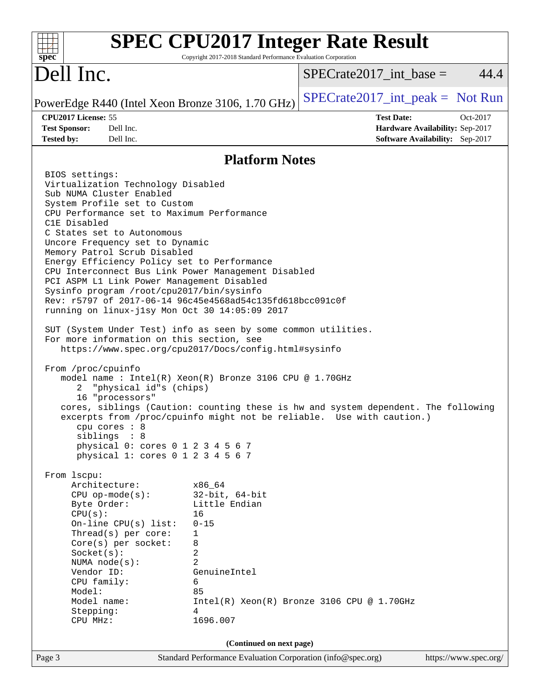| <b>SPEC CPU2017 Integer Rate Result</b><br>Copyright 2017-2018 Standard Performance Evaluation Corporation<br>spec <sup>®</sup>                                                                                                                                                                                                                                                                                                                                                                                                                                                                                                                                                                                                                                                                                                                                                                                                                                                                                                                                                                                                                                                                                                                                                                                                                                                                                                                                                                                                                                                                         |                                                                                                     |
|---------------------------------------------------------------------------------------------------------------------------------------------------------------------------------------------------------------------------------------------------------------------------------------------------------------------------------------------------------------------------------------------------------------------------------------------------------------------------------------------------------------------------------------------------------------------------------------------------------------------------------------------------------------------------------------------------------------------------------------------------------------------------------------------------------------------------------------------------------------------------------------------------------------------------------------------------------------------------------------------------------------------------------------------------------------------------------------------------------------------------------------------------------------------------------------------------------------------------------------------------------------------------------------------------------------------------------------------------------------------------------------------------------------------------------------------------------------------------------------------------------------------------------------------------------------------------------------------------------|-----------------------------------------------------------------------------------------------------|
| Dell Inc.                                                                                                                                                                                                                                                                                                                                                                                                                                                                                                                                                                                                                                                                                                                                                                                                                                                                                                                                                                                                                                                                                                                                                                                                                                                                                                                                                                                                                                                                                                                                                                                               | $SPECrate2017\_int\_base =$<br>44.4                                                                 |
| PowerEdge R440 (Intel Xeon Bronze 3106, 1.70 GHz)                                                                                                                                                                                                                                                                                                                                                                                                                                                                                                                                                                                                                                                                                                                                                                                                                                                                                                                                                                                                                                                                                                                                                                                                                                                                                                                                                                                                                                                                                                                                                       | $SPECrate2017\_int\_peak = Not Run$                                                                 |
| CPU2017 License: 55<br>Dell Inc.<br><b>Test Sponsor:</b><br><b>Tested by:</b><br>Dell Inc.                                                                                                                                                                                                                                                                                                                                                                                                                                                                                                                                                                                                                                                                                                                                                                                                                                                                                                                                                                                                                                                                                                                                                                                                                                                                                                                                                                                                                                                                                                              | <b>Test Date:</b><br>Oct-2017<br>Hardware Availability: Sep-2017<br>Software Availability: Sep-2017 |
| <b>Platform Notes</b>                                                                                                                                                                                                                                                                                                                                                                                                                                                                                                                                                                                                                                                                                                                                                                                                                                                                                                                                                                                                                                                                                                                                                                                                                                                                                                                                                                                                                                                                                                                                                                                   |                                                                                                     |
| BIOS settings:<br>Virtualization Technology Disabled<br>Sub NUMA Cluster Enabled<br>System Profile set to Custom<br>CPU Performance set to Maximum Performance<br>C1E Disabled<br>C States set to Autonomous<br>Uncore Frequency set to Dynamic<br>Memory Patrol Scrub Disabled<br>Energy Efficiency Policy set to Performance<br>CPU Interconnect Bus Link Power Management Disabled<br>PCI ASPM L1 Link Power Management Disabled<br>Sysinfo program /root/cpu2017/bin/sysinfo<br>Rev: r5797 of 2017-06-14 96c45e4568ad54c135fd618bcc091c0f<br>running on linux-jlsy Mon Oct 30 14:05:09 2017<br>SUT (System Under Test) info as seen by some common utilities.<br>For more information on this section, see<br>https://www.spec.org/cpu2017/Docs/config.html#sysinfo<br>From /proc/cpuinfo<br>model name : Intel(R) Xeon(R) Bronze 3106 CPU @ 1.70GHz<br>"physical id"s (chips)<br>2<br>16 "processors"<br>cores, siblings (Caution: counting these is hw and system dependent. The following<br>excerpts from /proc/cpuinfo might not be reliable. Use with caution.)<br>$cpu$ cores : $8$<br>siblings : 8<br>physical 0: cores 0 1 2 3 4 5 6 7<br>physical 1: cores 0 1 2 3 4 5 6 7<br>From 1scpu:<br>Architecture:<br>x86 64<br>$CPU$ op-mode( $s$ ):<br>$32$ -bit, $64$ -bit<br>Byte Order:<br>Little Endian<br>CPU(s):<br>16<br>On-line CPU(s) list:<br>$0 - 15$<br>Thread(s) per core:<br>1<br>Core(s) per socket:<br>8<br>2<br>Socket(s):<br>2<br>NUMA $node(s)$ :<br>Vendor ID:<br>GenuineIntel<br>CPU family:<br>6<br>Model:<br>85<br>Model name:<br>4<br>Stepping:<br>1696.007<br>CPU MHz: | $Intel(R) Xeon(R) Bronze 3106 CPU @ 1.70GHz$                                                        |
|                                                                                                                                                                                                                                                                                                                                                                                                                                                                                                                                                                                                                                                                                                                                                                                                                                                                                                                                                                                                                                                                                                                                                                                                                                                                                                                                                                                                                                                                                                                                                                                                         |                                                                                                     |
| (Continued on next page)<br>Standard Performance Evaluation Corporation (info@spec.org)<br>Page 3                                                                                                                                                                                                                                                                                                                                                                                                                                                                                                                                                                                                                                                                                                                                                                                                                                                                                                                                                                                                                                                                                                                                                                                                                                                                                                                                                                                                                                                                                                       | https://www.spec.org/                                                                               |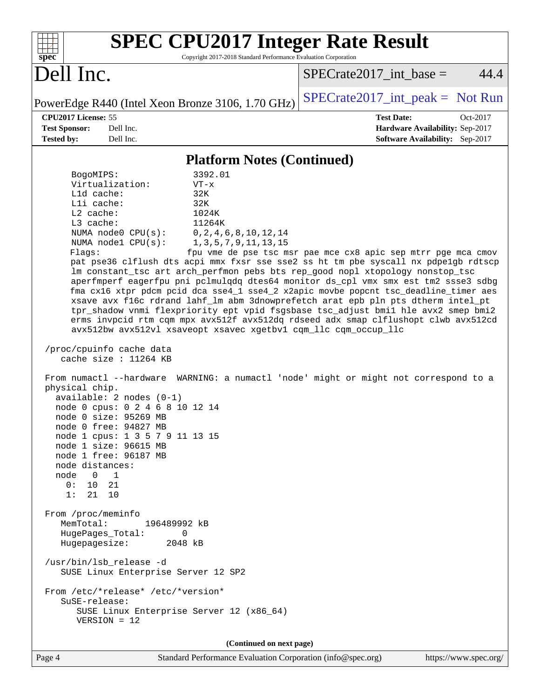| <b>SPEC CPU2017 Integer Rate Result</b><br>Copyright 2017-2018 Standard Performance Evaluation Corporation<br>spec <sup>®</sup>                                                                                                                                                                                                                                                                                                                                                                                                                                                                                                                                                                                                                                                                                                                                                                                                                                                                                                                                                                                                                                                                                                                                                                                                                                                                                                                                                                                                                                                                                                                                                                                                                              |                                                                                                     |
|--------------------------------------------------------------------------------------------------------------------------------------------------------------------------------------------------------------------------------------------------------------------------------------------------------------------------------------------------------------------------------------------------------------------------------------------------------------------------------------------------------------------------------------------------------------------------------------------------------------------------------------------------------------------------------------------------------------------------------------------------------------------------------------------------------------------------------------------------------------------------------------------------------------------------------------------------------------------------------------------------------------------------------------------------------------------------------------------------------------------------------------------------------------------------------------------------------------------------------------------------------------------------------------------------------------------------------------------------------------------------------------------------------------------------------------------------------------------------------------------------------------------------------------------------------------------------------------------------------------------------------------------------------------------------------------------------------------------------------------------------------------|-----------------------------------------------------------------------------------------------------|
| Dell Inc.                                                                                                                                                                                                                                                                                                                                                                                                                                                                                                                                                                                                                                                                                                                                                                                                                                                                                                                                                                                                                                                                                                                                                                                                                                                                                                                                                                                                                                                                                                                                                                                                                                                                                                                                                    | 44.4<br>$SPECrate2017\_int\_base =$                                                                 |
| PowerEdge R440 (Intel Xeon Bronze 3106, 1.70 GHz)                                                                                                                                                                                                                                                                                                                                                                                                                                                                                                                                                                                                                                                                                                                                                                                                                                                                                                                                                                                                                                                                                                                                                                                                                                                                                                                                                                                                                                                                                                                                                                                                                                                                                                            | $SPECrate2017\_int\_peak = Not Run$                                                                 |
| CPU2017 License: 55<br><b>Test Sponsor:</b><br>Dell Inc.<br>Dell Inc.<br><b>Tested by:</b>                                                                                                                                                                                                                                                                                                                                                                                                                                                                                                                                                                                                                                                                                                                                                                                                                                                                                                                                                                                                                                                                                                                                                                                                                                                                                                                                                                                                                                                                                                                                                                                                                                                                   | <b>Test Date:</b><br>Oct-2017<br>Hardware Availability: Sep-2017<br>Software Availability: Sep-2017 |
| <b>Platform Notes (Continued)</b>                                                                                                                                                                                                                                                                                                                                                                                                                                                                                                                                                                                                                                                                                                                                                                                                                                                                                                                                                                                                                                                                                                                                                                                                                                                                                                                                                                                                                                                                                                                                                                                                                                                                                                                            |                                                                                                     |
| 3392.01<br>BogoMIPS:<br>Virtualization:<br>$VT - x$<br>Lld cache:<br>32K<br>Lli cache:<br>32K<br>$L2$ cache:<br>1024K<br>$L3$ cache:<br>11264K<br>NUMA node0 CPU(s):<br>0, 2, 4, 6, 8, 10, 12, 14<br>NUMA node1 CPU(s):<br>1, 3, 5, 7, 9, 11, 13, 15<br>Flags:<br>pat pse36 clflush dts acpi mmx fxsr sse sse2 ss ht tm pbe syscall nx pdpelgb rdtscp<br>lm constant_tsc art arch_perfmon pebs bts rep_good nopl xtopology nonstop_tsc<br>aperfmperf eagerfpu pni pclmulqdq dtes64 monitor ds_cpl vmx smx est tm2 ssse3 sdbg<br>fma cx16 xtpr pdcm pcid dca sse4_1 sse4_2 x2apic movbe popcnt tsc_deadline_timer aes<br>xsave avx f16c rdrand lahf_lm abm 3dnowprefetch arat epb pln pts dtherm intel_pt<br>tpr_shadow vnmi flexpriority ept vpid fsgsbase tsc_adjust bmil hle avx2 smep bmi2<br>erms invpcid rtm cqm mpx avx512f avx512dq rdseed adx smap clflushopt clwb avx512cd<br>avx512bw avx512vl xsaveopt xsavec xgetbvl cqm_llc cqm_occup_llc<br>/proc/cpuinfo cache data<br>cache size : $11264$ KB<br>From numactl --hardware WARNING: a numactl 'node' might or might not correspond to a<br>physical chip.<br>available: $2$ nodes $(0-1)$<br>node 0 cpus: 0 2 4 6 8 10 12 14<br>node 0 size: 95269 MB<br>$node 0$ free: 94827 MB<br>node 1 cpus: 1 3 5 7 9 11 13 15<br>node 1 size: 96615 MB<br>node 1 free: 96187 MB<br>node distances:<br>$\overline{0}$<br>node<br>$\mathbf{1}$<br>0:<br>10<br>21<br>1:<br>21 10<br>From /proc/meminfo<br>MemTotal:<br>196489992 kB<br>HugePages_Total:<br>0<br>Hugepagesize:<br>2048 kB<br>/usr/bin/lsb_release -d<br>SUSE Linux Enterprise Server 12 SP2<br>From /etc/*release* /etc/*version*<br>SuSE-release:<br>SUSE Linux Enterprise Server 12 (x86_64)<br>$VERSION = 12$<br>(Continued on next page) | fpu vme de pse tsc msr pae mce cx8 apic sep mtrr pge mca cmov                                       |
| Standard Performance Evaluation Corporation (info@spec.org)<br>Page 4                                                                                                                                                                                                                                                                                                                                                                                                                                                                                                                                                                                                                                                                                                                                                                                                                                                                                                                                                                                                                                                                                                                                                                                                                                                                                                                                                                                                                                                                                                                                                                                                                                                                                        | https://www.spec.org/                                                                               |
|                                                                                                                                                                                                                                                                                                                                                                                                                                                                                                                                                                                                                                                                                                                                                                                                                                                                                                                                                                                                                                                                                                                                                                                                                                                                                                                                                                                                                                                                                                                                                                                                                                                                                                                                                              |                                                                                                     |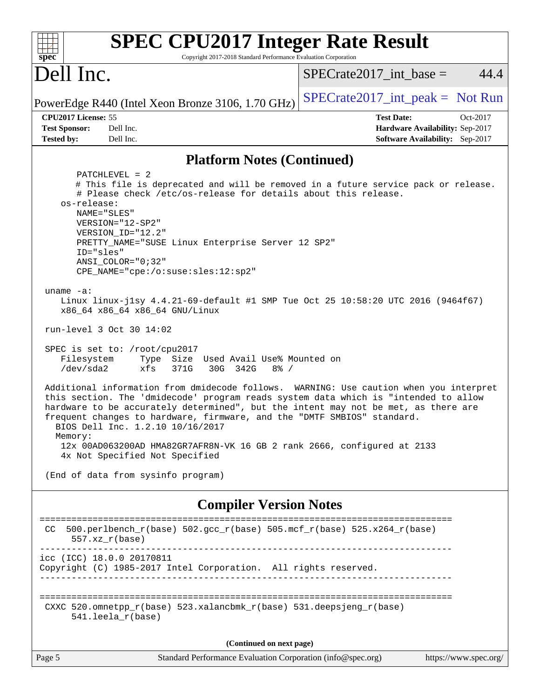| <b>SPEC CPU2017 Integer Rate Result</b><br>Copyright 2017-2018 Standard Performance Evaluation Corporation<br>spec <sup>®</sup>                                                                                                                                                                                                                                                                                                                                                                                                                                                                                                                                                                                                                                                                                                                                                                                                                                                                                                                                                                                                                                                                                 |                                                                                                     |
|-----------------------------------------------------------------------------------------------------------------------------------------------------------------------------------------------------------------------------------------------------------------------------------------------------------------------------------------------------------------------------------------------------------------------------------------------------------------------------------------------------------------------------------------------------------------------------------------------------------------------------------------------------------------------------------------------------------------------------------------------------------------------------------------------------------------------------------------------------------------------------------------------------------------------------------------------------------------------------------------------------------------------------------------------------------------------------------------------------------------------------------------------------------------------------------------------------------------|-----------------------------------------------------------------------------------------------------|
| Dell Inc.                                                                                                                                                                                                                                                                                                                                                                                                                                                                                                                                                                                                                                                                                                                                                                                                                                                                                                                                                                                                                                                                                                                                                                                                       | 44.4<br>$SPECrate2017\_int\_base =$                                                                 |
| PowerEdge R440 (Intel Xeon Bronze 3106, 1.70 GHz)                                                                                                                                                                                                                                                                                                                                                                                                                                                                                                                                                                                                                                                                                                                                                                                                                                                                                                                                                                                                                                                                                                                                                               | $SPECTate2017\_int\_peak = Not Run$                                                                 |
| CPU2017 License: 55<br><b>Test Sponsor:</b><br>Dell Inc.<br><b>Tested by:</b><br>Dell Inc.                                                                                                                                                                                                                                                                                                                                                                                                                                                                                                                                                                                                                                                                                                                                                                                                                                                                                                                                                                                                                                                                                                                      | <b>Test Date:</b><br>Oct-2017<br>Hardware Availability: Sep-2017<br>Software Availability: Sep-2017 |
| <b>Platform Notes (Continued)</b>                                                                                                                                                                                                                                                                                                                                                                                                                                                                                                                                                                                                                                                                                                                                                                                                                                                                                                                                                                                                                                                                                                                                                                               |                                                                                                     |
| $PATCHLEVEL = 2$<br># This file is deprecated and will be removed in a future service pack or release.<br># Please check /etc/os-release for details about this release.<br>os-release:<br>NAME="SLES"<br>VERSION="12-SP2"<br>VERSION_ID="12.2"<br>PRETTY_NAME="SUSE Linux Enterprise Server 12 SP2"<br>ID="sles"<br>ANSI COLOR="0;32"<br>CPE_NAME="cpe:/o:suse:sles:12:sp2"<br>uname $-a$ :<br>Linux linux-j1sy 4.4.21-69-default #1 SMP Tue Oct 25 10:58:20 UTC 2016 (9464f67)<br>x86_64 x86_64 x86_64 GNU/Linux<br>run-level 3 Oct 30 14:02<br>SPEC is set to: /root/cpu2017<br>Filesystem<br>Type Size Used Avail Use% Mounted on<br>/dev/sda2<br>371G<br>30G 342G<br>$8\frac{6}{6}$ /<br>xfs<br>Additional information from dmidecode follows. WARNING: Use caution when you interpret<br>this section. The 'dmidecode' program reads system data which is "intended to allow<br>hardware to be accurately determined", but the intent may not be met, as there are<br>frequent changes to hardware, firmware, and the "DMTF SMBIOS" standard.<br>BIOS Dell Inc. 1.2.10 10/16/2017<br>Memory:<br>12x 00AD063200AD HMA82GR7AFR8N-VK 16 GB 2 rank 2666, configured at 2133<br>4x Not Specified Not Specified |                                                                                                     |
| (End of data from sysinfo program)                                                                                                                                                                                                                                                                                                                                                                                                                                                                                                                                                                                                                                                                                                                                                                                                                                                                                                                                                                                                                                                                                                                                                                              |                                                                                                     |
| <b>Compiler Version Notes</b>                                                                                                                                                                                                                                                                                                                                                                                                                                                                                                                                                                                                                                                                                                                                                                                                                                                                                                                                                                                                                                                                                                                                                                                   |                                                                                                     |
| ===============================<br>500.perlbench_r(base) 502.gcc_r(base) 505.mcf_r(base) 525.x264_r(base)<br>CC.<br>$557. xz_r(base)$                                                                                                                                                                                                                                                                                                                                                                                                                                                                                                                                                                                                                                                                                                                                                                                                                                                                                                                                                                                                                                                                           |                                                                                                     |
| icc (ICC) 18.0.0 20170811<br>Copyright (C) 1985-2017 Intel Corporation. All rights reserved.                                                                                                                                                                                                                                                                                                                                                                                                                                                                                                                                                                                                                                                                                                                                                                                                                                                                                                                                                                                                                                                                                                                    |                                                                                                     |
| CXXC 520.omnetpp_r(base) 523.xalancbmk_r(base) 531.deepsjeng_r(base)<br>$541.$ leela r(base)                                                                                                                                                                                                                                                                                                                                                                                                                                                                                                                                                                                                                                                                                                                                                                                                                                                                                                                                                                                                                                                                                                                    |                                                                                                     |
| (Continued on next page)                                                                                                                                                                                                                                                                                                                                                                                                                                                                                                                                                                                                                                                                                                                                                                                                                                                                                                                                                                                                                                                                                                                                                                                        |                                                                                                     |
| Standard Performance Evaluation Corporation (info@spec.org)<br>Page 5                                                                                                                                                                                                                                                                                                                                                                                                                                                                                                                                                                                                                                                                                                                                                                                                                                                                                                                                                                                                                                                                                                                                           | https://www.spec.org/                                                                               |
|                                                                                                                                                                                                                                                                                                                                                                                                                                                                                                                                                                                                                                                                                                                                                                                                                                                                                                                                                                                                                                                                                                                                                                                                                 |                                                                                                     |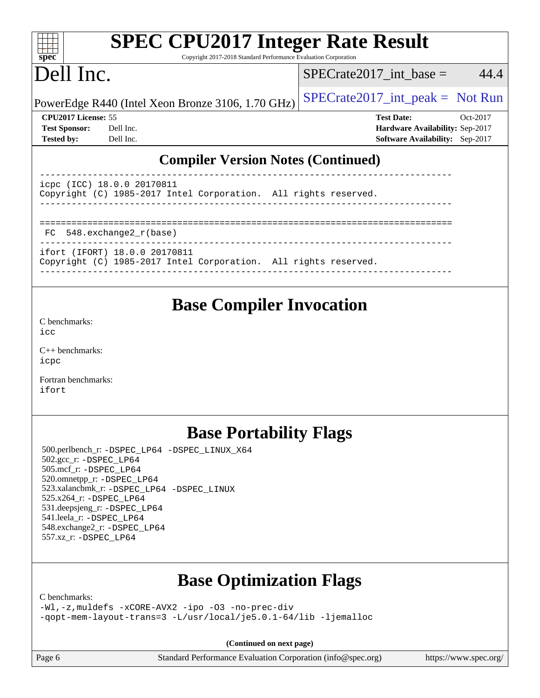| <b>SPEC CPU2017 Integer Rate Result</b><br>$spec^*$<br>Copyright 2017-2018 Standard Performance Evaluation Corporation |                                                   |  |                                        |          |  |  |
|------------------------------------------------------------------------------------------------------------------------|---------------------------------------------------|--|----------------------------------------|----------|--|--|
| Dell Inc.                                                                                                              |                                                   |  | $SPECrate2017$ _int_base =             | 44.4     |  |  |
|                                                                                                                        | PowerEdge R440 (Intel Xeon Bronze 3106, 1.70 GHz) |  | $SPECrate2017\_int\_peak = Not Run$    |          |  |  |
| CPU2017 License: 55                                                                                                    |                                                   |  | <b>Test Date:</b>                      | Oct-2017 |  |  |
| <b>Test Sponsor:</b>                                                                                                   | Dell Inc.                                         |  | <b>Hardware Availability: Sep-2017</b> |          |  |  |
| <b>Tested by:</b>                                                                                                      | Dell Inc.                                         |  | <b>Software Availability:</b> Sep-2017 |          |  |  |
| <b>Compiler Version Notes (Continued)</b><br>18.0.0 20170811<br>ICC)<br>icpc                                           |                                                   |  |                                        |          |  |  |

| FC 548.exchange2_r(base) |
|--------------------------|

Copyright (C) 1985-2017 Intel Corporation. All rights reserved. ------------------------------------------------------------------------------

----------------------------------------------------------------------------- ifort (IFORT) 18.0.0 20170811 Copyright (C) 1985-2017 Intel Corporation. All rights reserved.

------------------------------------------------------------------------------

## **[Base Compiler Invocation](http://www.spec.org/auto/cpu2017/Docs/result-fields.html#BaseCompilerInvocation)**

[C benchmarks](http://www.spec.org/auto/cpu2017/Docs/result-fields.html#Cbenchmarks): [icc](http://www.spec.org/cpu2017/results/res2017q4/cpu2017-20171127-00910.flags.html#user_CCbase_intel_icc_18.0_66fc1ee009f7361af1fbd72ca7dcefbb700085f36577c54f309893dd4ec40d12360134090235512931783d35fd58c0460139e722d5067c5574d8eaf2b3e37e92)

[C++ benchmarks:](http://www.spec.org/auto/cpu2017/Docs/result-fields.html#CXXbenchmarks) [icpc](http://www.spec.org/cpu2017/results/res2017q4/cpu2017-20171127-00910.flags.html#user_CXXbase_intel_icpc_18.0_c510b6838c7f56d33e37e94d029a35b4a7bccf4766a728ee175e80a419847e808290a9b78be685c44ab727ea267ec2f070ec5dc83b407c0218cded6866a35d07)

[Fortran benchmarks](http://www.spec.org/auto/cpu2017/Docs/result-fields.html#Fortranbenchmarks): [ifort](http://www.spec.org/cpu2017/results/res2017q4/cpu2017-20171127-00910.flags.html#user_FCbase_intel_ifort_18.0_8111460550e3ca792625aed983ce982f94888b8b503583aa7ba2b8303487b4d8a21a13e7191a45c5fd58ff318f48f9492884d4413fa793fd88dd292cad7027ca)

## **[Base Portability Flags](http://www.spec.org/auto/cpu2017/Docs/result-fields.html#BasePortabilityFlags)**

 500.perlbench\_r: [-DSPEC\\_LP64](http://www.spec.org/cpu2017/results/res2017q4/cpu2017-20171127-00910.flags.html#b500.perlbench_r_basePORTABILITY_DSPEC_LP64) [-DSPEC\\_LINUX\\_X64](http://www.spec.org/cpu2017/results/res2017q4/cpu2017-20171127-00910.flags.html#b500.perlbench_r_baseCPORTABILITY_DSPEC_LINUX_X64) 502.gcc\_r: [-DSPEC\\_LP64](http://www.spec.org/cpu2017/results/res2017q4/cpu2017-20171127-00910.flags.html#suite_basePORTABILITY502_gcc_r_DSPEC_LP64) 505.mcf\_r: [-DSPEC\\_LP64](http://www.spec.org/cpu2017/results/res2017q4/cpu2017-20171127-00910.flags.html#suite_basePORTABILITY505_mcf_r_DSPEC_LP64) 520.omnetpp\_r: [-DSPEC\\_LP64](http://www.spec.org/cpu2017/results/res2017q4/cpu2017-20171127-00910.flags.html#suite_basePORTABILITY520_omnetpp_r_DSPEC_LP64) 523.xalancbmk\_r: [-DSPEC\\_LP64](http://www.spec.org/cpu2017/results/res2017q4/cpu2017-20171127-00910.flags.html#suite_basePORTABILITY523_xalancbmk_r_DSPEC_LP64) [-DSPEC\\_LINUX](http://www.spec.org/cpu2017/results/res2017q4/cpu2017-20171127-00910.flags.html#b523.xalancbmk_r_baseCXXPORTABILITY_DSPEC_LINUX) 525.x264\_r: [-DSPEC\\_LP64](http://www.spec.org/cpu2017/results/res2017q4/cpu2017-20171127-00910.flags.html#suite_basePORTABILITY525_x264_r_DSPEC_LP64) 531.deepsjeng\_r: [-DSPEC\\_LP64](http://www.spec.org/cpu2017/results/res2017q4/cpu2017-20171127-00910.flags.html#suite_basePORTABILITY531_deepsjeng_r_DSPEC_LP64) 541.leela\_r: [-DSPEC\\_LP64](http://www.spec.org/cpu2017/results/res2017q4/cpu2017-20171127-00910.flags.html#suite_basePORTABILITY541_leela_r_DSPEC_LP64) 548.exchange2\_r: [-DSPEC\\_LP64](http://www.spec.org/cpu2017/results/res2017q4/cpu2017-20171127-00910.flags.html#suite_basePORTABILITY548_exchange2_r_DSPEC_LP64) 557.xz\_r: [-DSPEC\\_LP64](http://www.spec.org/cpu2017/results/res2017q4/cpu2017-20171127-00910.flags.html#suite_basePORTABILITY557_xz_r_DSPEC_LP64)

## **[Base Optimization Flags](http://www.spec.org/auto/cpu2017/Docs/result-fields.html#BaseOptimizationFlags)**

[C benchmarks](http://www.spec.org/auto/cpu2017/Docs/result-fields.html#Cbenchmarks):

[-Wl,-z,muldefs](http://www.spec.org/cpu2017/results/res2017q4/cpu2017-20171127-00910.flags.html#user_CCbase_link_force_multiple1_b4cbdb97b34bdee9ceefcfe54f4c8ea74255f0b02a4b23e853cdb0e18eb4525ac79b5a88067c842dd0ee6996c24547a27a4b99331201badda8798ef8a743f577) [-xCORE-AVX2](http://www.spec.org/cpu2017/results/res2017q4/cpu2017-20171127-00910.flags.html#user_CCbase_f-xCORE-AVX2) [-ipo](http://www.spec.org/cpu2017/results/res2017q4/cpu2017-20171127-00910.flags.html#user_CCbase_f-ipo) [-O3](http://www.spec.org/cpu2017/results/res2017q4/cpu2017-20171127-00910.flags.html#user_CCbase_f-O3) [-no-prec-div](http://www.spec.org/cpu2017/results/res2017q4/cpu2017-20171127-00910.flags.html#user_CCbase_f-no-prec-div) [-qopt-mem-layout-trans=3](http://www.spec.org/cpu2017/results/res2017q4/cpu2017-20171127-00910.flags.html#user_CCbase_f-qopt-mem-layout-trans_de80db37974c74b1f0e20d883f0b675c88c3b01e9d123adea9b28688d64333345fb62bc4a798493513fdb68f60282f9a726aa07f478b2f7113531aecce732043) [-L/usr/local/je5.0.1-64/lib](http://www.spec.org/cpu2017/results/res2017q4/cpu2017-20171127-00910.flags.html#user_CCbase_jemalloc_link_path64_4b10a636b7bce113509b17f3bd0d6226c5fb2346b9178c2d0232c14f04ab830f976640479e5c33dc2bcbbdad86ecfb6634cbbd4418746f06f368b512fced5394) [-ljemalloc](http://www.spec.org/cpu2017/results/res2017q4/cpu2017-20171127-00910.flags.html#user_CCbase_jemalloc_link_lib_d1249b907c500fa1c0672f44f562e3d0f79738ae9e3c4a9c376d49f265a04b9c99b167ecedbf6711b3085be911c67ff61f150a17b3472be731631ba4d0471706)

**(Continued on next page)**

Page 6 Standard Performance Evaluation Corporation [\(info@spec.org\)](mailto:info@spec.org) <https://www.spec.org/>